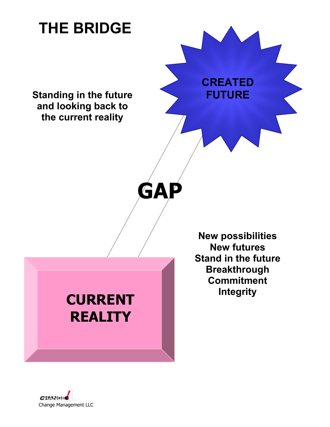